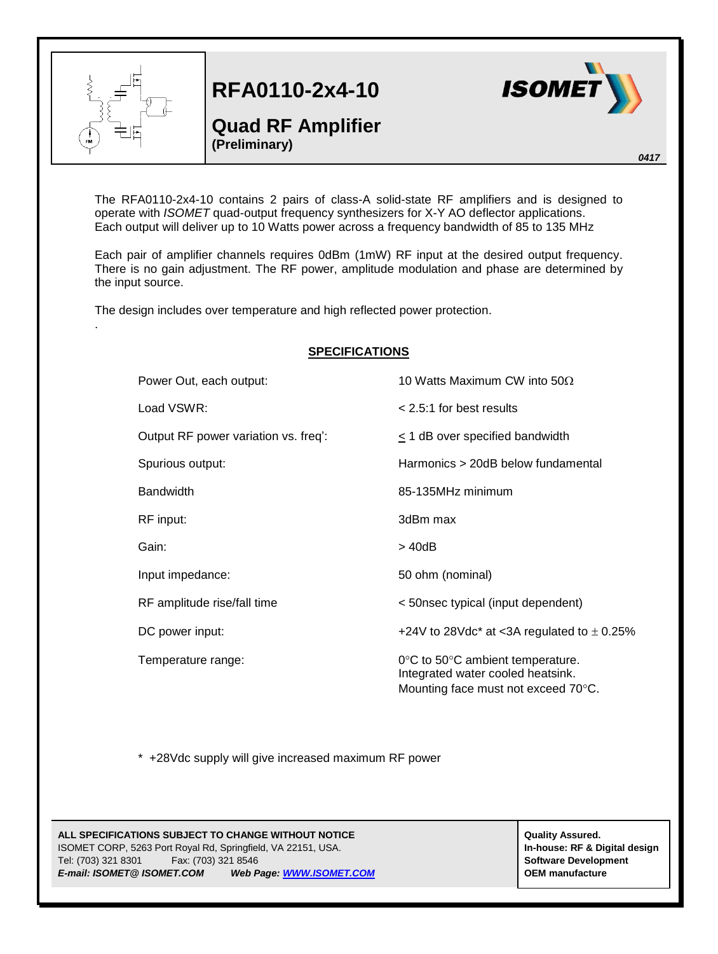

.

**RFA0110-2x4-10**

## **Quad RF Amplifier (Preliminary)**



*0417*

The RFA0110-2x4-10 contains 2 pairs of class-A solid-state RF amplifiers and is designed to operate with *ISOMET* quad-output frequency synthesizers for X-Y AO deflector applications. Each output will deliver up to 10 Watts power across a frequency bandwidth of 85 to 135 MHz

Each pair of amplifier channels requires 0dBm (1mW) RF input at the desired output frequency. There is no gain adjustment. The RF power, amplitude modulation and phase are determined by the input source.

The design includes over temperature and high reflected power protection.

## **SPECIFICATIONS** Power Out, each output:  $10$  Watts Maximum CW into  $50\Omega$ Load VSWR: < 2.5:1 for best results Output RF power variation vs. freq': < 1 dB over specified bandwidth Spurious output: Harmonics > 20dB below fundamental Bandwidth 85-135MHz minimum RF input: 3dBm max Gain:  $> 40dB$ Input impedance: 50 ohm (nominal) RF amplitude rise/fall time < 50nsec typical (input dependent) DC power input:  $+24V$  to 28Vdc<sup>\*</sup> at <3A regulated to  $\pm$  0.25% Temperature range:  $0^{\circ}C$  to  $50^{\circ}C$  ambient temperature. Integrated water cooled heatsink. Mounting face must not exceed 70°C.

\* +28Vdc supply will give increased maximum RF power

## **ALL SPECIFICATIONS SUBJECT TO CHANGE WITHOUT NOTICE**  $\begin{bmatrix} \text{Quality Assume} \end{bmatrix}$ ISOMET CORP, 5263 Port Royal Rd, Springfield, VA 22151, USA. **In-house: RF & Digital design** Tel: (703) 321 8301 Fax: (703) 321 8546 **Software Development** *E-mail: ISOMET@ ISOMET.COM Web Page[: WWW.ISOMET.COM](http://www.isomet.com/)* **OEM manufacture**